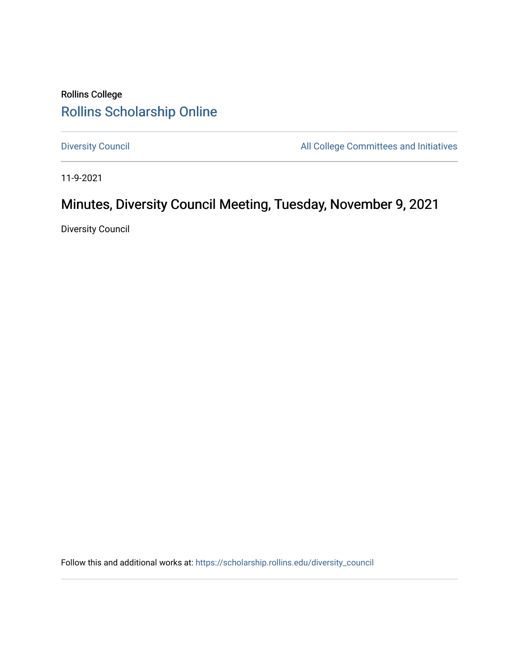## Rollins College [Rollins Scholarship Online](https://scholarship.rollins.edu/)

[Diversity Council](https://scholarship.rollins.edu/diversity_council) **All College Committees and Initiatives** 

11-9-2021

# Minutes, Diversity Council Meeting, Tuesday, November 9, 2021

Diversity Council

Follow this and additional works at: [https://scholarship.rollins.edu/diversity\\_council](https://scholarship.rollins.edu/diversity_council?utm_source=scholarship.rollins.edu%2Fdiversity_council%2F38&utm_medium=PDF&utm_campaign=PDFCoverPages)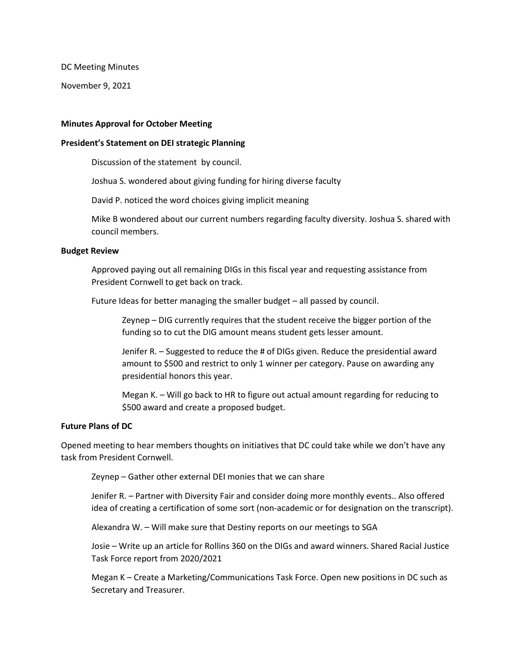DC Meeting Minutes

November 9, 2021

#### **Minutes Approval for October Meeting**

#### **President's Statement on DEI strategic Planning**

Discussion of the statement by council.

Joshua S. wondered about giving funding for hiring diverse faculty

David P. noticed the word choices giving implicit meaning

Mike B wondered about our current numbers regarding faculty diversity. Joshua S. shared with council members.

#### **Budget Review**

Approved paying out all remaining DIGs in this fiscal year and requesting assistance from President Cornwell to get back on track.

Future Ideas for better managing the smaller budget – all passed by council.

Zeynep – DIG currently requires that the student receive the bigger portion of the funding so to cut the DIG amount means student gets lesser amount.

Jenifer R. – Suggested to reduce the # of DIGs given. Reduce the presidential award amount to \$500 and restrict to only 1 winner per category. Pause on awarding any presidential honors this year.

Megan K. – Will go back to HR to figure out actual amount regarding for reducing to \$500 award and create a proposed budget.

#### **Future Plans of DC**

Opened meeting to hear members thoughts on initiatives that DC could take while we don't have any task from President Cornwell.

Zeynep – Gather other external DEI monies that we can share

Jenifer R. – Partner with Diversity Fair and consider doing more monthly events.. Also offered idea of creating a certification of some sort (non-academic or for designation on the transcript).

Alexandra W. – Will make sure that Destiny reports on our meetings to SGA

Josie – Write up an article for Rollins 360 on the DIGs and award winners. Shared Racial Justice Task Force report from 2020/2021

Megan K – Create a Marketing/Communications Task Force. Open new positions in DC such as Secretary and Treasurer.